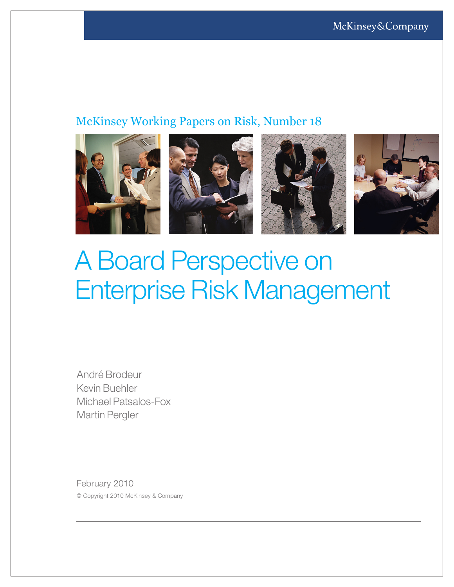# McKinsey Working Papers on Risk, Number 18



# A Board Perspective on Enterprise Risk Management

André Brodeur Kevin Buehler Michael Patsalos-Fox Martin Pergler

February 2010 © Copyright 2010 McKinsey & Company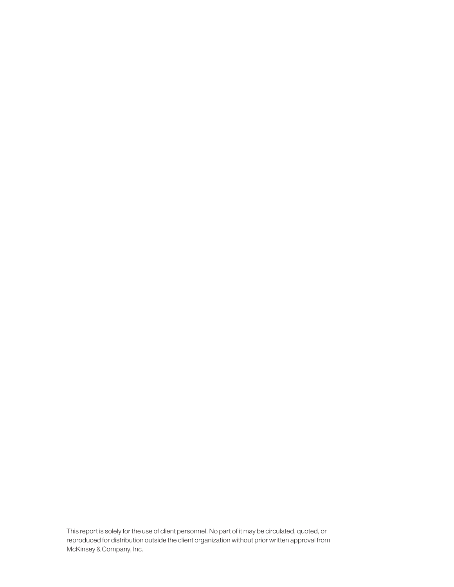This report is solely for the use of client personnel. No part of it may be circulated, quoted, or reproduced for distribution outside the client organization without prior written approval from McKinsey & Company, Inc.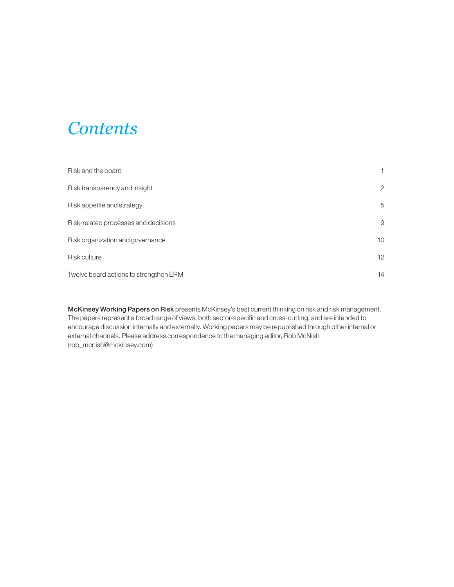# *Contents*

| Risk and the board                     |    |
|----------------------------------------|----|
| Risk transparency and insight          | 2  |
| Risk appetite and strategy             | 5  |
| Risk-related processes and decisions   | 9  |
| Risk organization and governance       | 10 |
| <b>Risk culture</b>                    | 12 |
| Twelve board actions to strengthen ERM | 14 |

McKinsey Working Papers on Risk presents McKinsey's best current thinking on risk and risk management. The papers represent a broad range of views, both sector-specific and cross-cutting, and are intended to encourage discussion internally and externally. Working papers may be republished through other internal or external channels. Please address correspondence to the managing editor, Rob McNish (rob\_mcnish@mckinsey.com)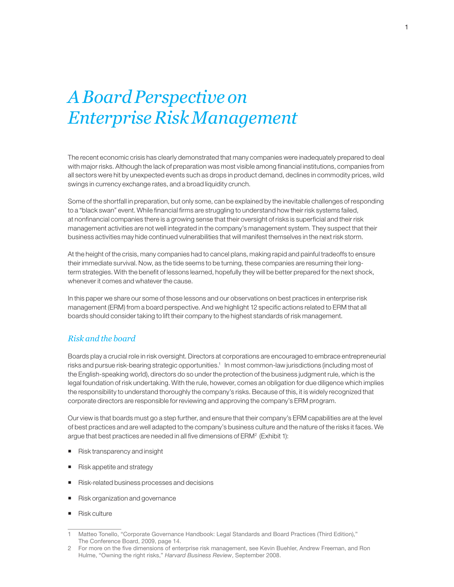# *A Board Perspective on Enterprise Risk Management*

The recent economic crisis has clearly demonstrated that many companies were inadequately prepared to deal with major risks. Although the lack of preparation was most visible among financial institutions, companies from all sectors were hit by unexpected events such as drops in product demand, declines in commodity prices, wild swings in currency exchange rates, and a broad liquidity crunch.

Some of the shortfall in preparation, but only some, can be explained by the inevitable challenges of responding to a "black swan" event. While financial firms are struggling to understand how their risk systems failed, at nonfinancial companies there is a growing sense that their oversight of risks is superficial and their risk management activities are not well integrated in the company's management system. They suspect that their business activities may hide continued vulnerabilities that will manifest themselves in the next risk storm.

At the height of the crisis, many companies had to cancel plans, making rapid and painful tradeoffs to ensure their immediate survival. Now, as the tide seems to be turning, these companies are resuming their longterm strategies. With the benefit of lessons learned, hopefully they will be better prepared for the next shock, whenever it comes and whatever the cause.

In this paper we share our some of those lessons and our observations on best practices in enterprise risk management (ERM) from a board perspective. And we highlight 12 specific actions related to ERM that all boards should consider taking to lift their company to the highest standards of risk management.

# *Risk and the board*

Boards play a crucial role in risk oversight. Directors at corporations are encouraged to embrace entrepreneurial risks and pursue risk-bearing strategic opportunities.<sup>1</sup> In most common-law jurisdictions (including most of the English-speaking world), directors do so under the protection of the business judgment rule, which is the legal foundation of risk undertaking. With the rule, however, comes an obligation for due diligence which implies the responsibility to understand thoroughly the company's risks. Because of this, it is widely recognized that corporate directors are responsible for reviewing and approving the company's ERM program.

Our view is that boards must go a step further, and ensure that their company's ERM capabilities are at the level of best practices and are well adapted to the company's business culture and the nature of the risks it faces. We argue that best practices are needed in all five dimensions of ERM<sup>2</sup> (Exhibit 1):

- Risk transparency and insight
- Risk appetite and strategy
- Risk-related business processes and decisions
- Risk organization and governance
- Risk culture

<sup>1</sup> Matteo Tonello, "Corporate Governance Handbook: Legal Standards and Board Practices (Third Edition)," The Conference Board, 2009, page 14.

<sup>2</sup> For more on the five dimensions of enterprise risk management, see Kevin Buehler, Andrew Freeman, and Ron Hulme, "Owning the right risks," *Harvard Business Review*, September 2008.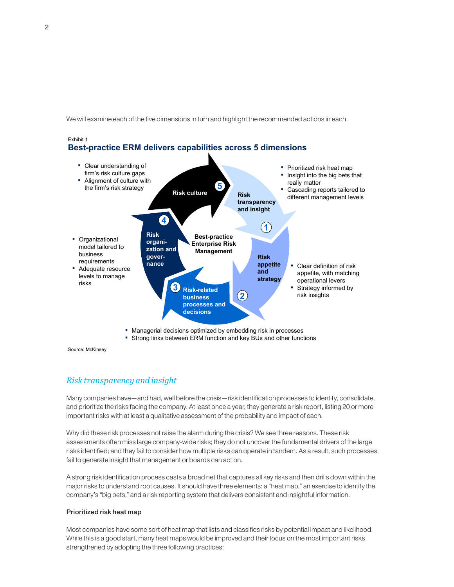We will examine each of the five dimensions in turn and highlight the recommended actions in each.



**EXT** Strong links between ERM function and key BUs and other functions

Source: McKinsey

Exhibit 1

# *Risk transparency and insight*

Many companies have—and had, well before the crisis—risk identification processes to identify, consolidate, and prioritize the risks facing the company. At least once a year, they generate a risk report, listing 20 or more important risks with at least a qualitative assessment of the probability and impact of each.

Why did these risk processes not raise the alarm during the crisis? We see three reasons. These risk assessments often miss large company-wide risks; they do not uncover the fundamental drivers of the large risks identified; and they fail to consider how multiple risks can operate in tandem. As a result, such processes fail to generate insight that management or boards can act on.

A strong risk identification process casts a broad net that captures all key risks and then drills down within the major risks to understand root causes. It should have three elements: a "heat map," an exercise to identify the company's "big bets," and a risk reporting system that delivers consistent and insightful information.

#### Prioritized risk heat map

Most companies have some sort of heat map that lists and classifies risks by potential impact and likelihood. While this is a good start, many heat maps would be improved and their focus on the most important risks strengthened by adopting the three following practices: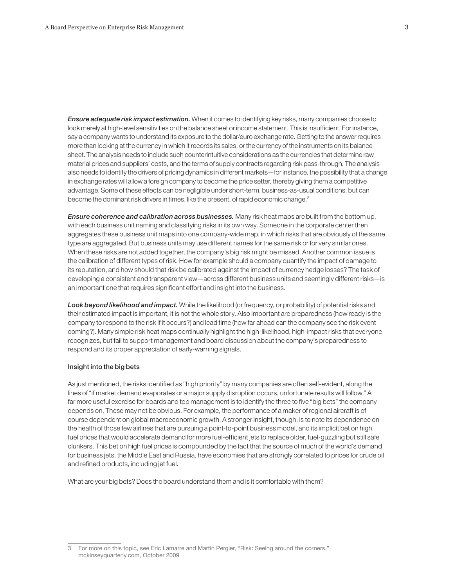*Ensure adequate risk impact estimation.* When it comes to identifying key risks, many companies choose to look merely at high-level sensitivities on the balance sheet or income statement. This is insufficient. For instance, say a company wants to understand its exposure to the dollar/euro exchange rate. Getting to the answer requires more than looking at the currency in which it records its sales, or the currency of the instruments on its balance sheet. The analysis needs to include such counterintuitive considerations as the currencies that determine raw material prices and suppliers' costs, and the terms of supply contracts regarding risk pass-through. The analysis also needs to identify the drivers of pricing dynamics in different markets—for instance, the possibility that a change in exchange rates will allow a foreign company to become the price setter, thereby giving them a competitive advantage. Some of these effects can be negligible under short-term, business-as-usual conditions, but can become the dominant risk drivers in times, like the present, of rapid economic change.<sup>3</sup>

*Ensure coherence and calibration across businesses.* Many risk heat maps are built from the bottom up, with each business unit naming and classifying risks in its own way. Someone in the corporate center then aggregates these business unit maps into one company-wide map, in which risks that are obviously of the same type are aggregated. But business units may use different names for the same risk or for very similar ones. When these risks are not added together, the company's big risk might be missed. Another common issue is the calibration of different types of risk. How for example should a company quantify the impact of damage to its reputation, and how should that risk be calibrated against the impact of currency hedge losses? The task of developing a consistent and transparent view—across different business units and seemingly different risks—is an important one that requires significant effort and insight into the business.

*Look beyond likelihood and impact.* While the likelihood (or frequency, or probability) of potential risks and their estimated impact is important, it is not the whole story. Also important are preparedness (how ready is the company to respond to the risk if it occurs?) and lead time (how far ahead can the company see the risk event coming?). Many simple risk heat maps continually highlight the high-likelihood, high-impact risks that everyone recognizes, but fail to support management and board discussion about the company's preparedness to respond and its proper appreciation of early-warning signals.

#### Insight into the big bets

As just mentioned, the risks identified as "high priority" by many companies are often self-evident, along the lines of "if market demand evaporates or a major supply disruption occurs, unfortunate results will follow." A far more useful exercise for boards and top management is to identify the three to five "big bets" the company depends on. These may not be obvious. For example, the performance of a maker of regional aircraft is of course dependent on global macroeconomic growth. A stronger insight, though, is to note its dependence on the health of those few airlines that are pursuing a point-to-point business model, and its implicit bet on high fuel prices that would accelerate demand for more fuel-efficient jets to replace older, fuel-guzzling but still safe clunkers. This bet on high fuel prices is compounded by the fact that the source of much of the world's demand for business jets, the Middle East and Russia, have economies that are strongly correlated to prices for crude oil and refined products, including jet fuel.

What are your big bets? Does the board understand them and is it comfortable with them?

<sup>3</sup> For more on this topic, see Eric Lamarre and Martin Pergler, "Risk: Seeing around the corners," mckinseyquarterly.com, October 2009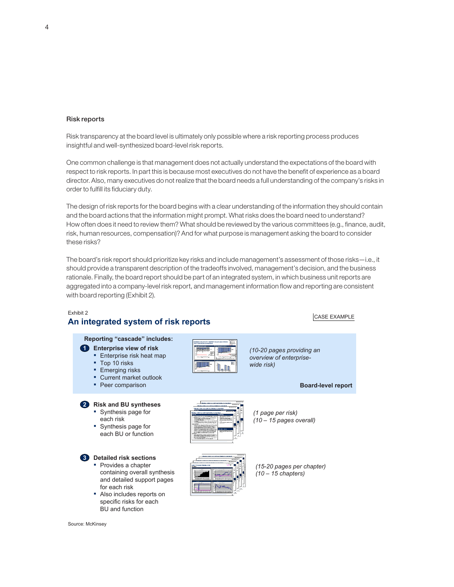#### Risk reports

Risk transparency at the board level is ultimately only possible where a risk reporting process produces insightful and well-synthesized board-level risk reports.

One common challenge is that management does not actually understand the expectations of the board with respect to risk reports. In part this is because most executives do not have the benefit of experience as a board director. Also, many executives do not realize that the board needs a full understanding of the company's risks in order to fulfill its fiduciary duty.

The design of risk reports for the board begins with a clear understanding of the information they should contain and the board actions that the information might prompt. What risks does the board need to understand? How often does it need to review them? What should be reviewed by the various committees (e.g., finance, audit, risk, human resources, compensation)? And for what purpose is management asking the board to consider these risks?

The board's risk report should prioritize key risks and include management's assessment of those risks—i.e., it should provide a transparent description of the tradeoffs involved, management's decision, and the business rationale. Finally, the board report should be part of an integrated system, in which business unit reports are aggregated into a company-level risk report, and management information flow and reporting are consistent with board reporting (Exhibit 2).

#### Exhibit 2 **An integrated system of risk reports**

■ Also includes reports on specific risks for each BU and function

#### CASE EXAMPLE

**Board-level report**



*(1 page per risk) (10 – 15 pages overall)*



*(15-20 pages per chapter) (10 – 15 chapters)*

Source: McKinsey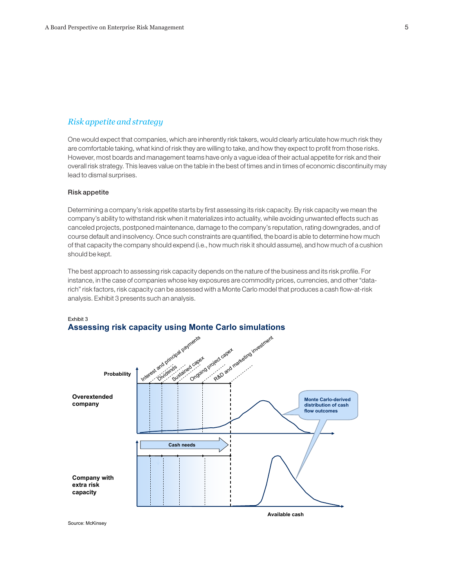# *Risk appetite and strategy*

One would expect that companies, which are inherently risk takers, would clearly articulate how much risk they are comfortable taking, what kind of risk they are willing to take, and how they expect to profit from those risks. However, most boards and management teams have only a vague idea of their actual appetite for risk and their overall risk strategy. This leaves value on the table in the best of times and in times of economic discontinuity may lead to dismal surprises.

#### Risk appetite

Exhibit 3

Determining a company's risk appetite starts by first assessing its risk capacity. By risk capacity we mean the company's ability to withstand risk when it materializes into actuality, while avoiding unwanted effects such as canceled projects, postponed maintenance, damage to the company's reputation, rating downgrades, and of course default and insolvency. Once such constraints are quantified, the board is able to determine how much of that capacity the company should expend (i.e., how much risk it should assume), and how much of a cushion should be kept.

The best approach to assessing risk capacity depends on the nature of the business and its risk profile. For instance, in the case of companies whose key exposures are commodity prices, currencies, and other "datarich" risk factors, risk capacity can be assessed with a Monte Carlo model that produces a cash flow-at-risk analysis. Exhibit 3 presents such an analysis.



# **Assessing risk capacity using Monte Carlo simulations**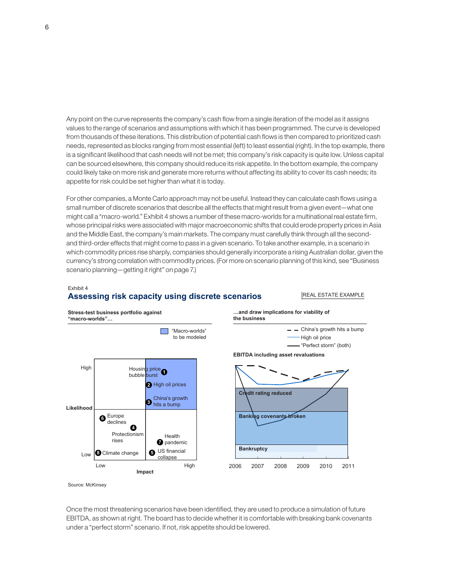Any point on the curve represents the company's cash flow from a single iteration of the model as it assigns values to the range of scenarios and assumptions with which it has been programmed. The curve is developed from thousands of these iterations. This distribution of potential cash flows is then compared to prioritized cash needs, represented as blocks ranging from most essential (left) to least essential (right). In the top example, there is a significant likelihood that cash needs will not be met; this company's risk capacity is quite low. Unless capital can be sourced elsewhere, this company should reduce its risk appetite. In the bottom example, the company could likely take on more risk and generate more returns without affecting its ability to cover its cash needs; its appetite for risk could be set higher than what it is today.

For other companies, a Monte Carlo approach may not be useful. Instead they can calculate cash flows using a small number of discrete scenarios that describe all the effects that might result from a given event—what one might call a "macro-world." Exhibit 4 shows a number of these macro-worlds for a multinational real estate firm, whose principal risks were associated with major macroeconomic shifts that could erode property prices in Asia and the Middle East, the company's main markets. The company must carefully think through all the secondand third-order effects that might come to pass in a given scenario. To take another example, in a scenario in which commodity prices rise sharply, companies should generally incorporate a rising Australian dollar, given the currency's strong correlation with commodity prices. (For more on scenario planning of this kind, see "Business scenario planning—getting it right" on page 7.)

#### Exhibit 4 **Assessing risk capacity using discrete scenarios**

#### REAL ESTATE EXAMPLE



Source: McKinsey

Once the most threatening scenarios have been identified, they are used to produce a simulation of future EBITDA, as shown at right. The board has to decide whether it is comfortable with breaking bank covenants under a "perfect storm" scenario. If not, risk appetite should be lowered.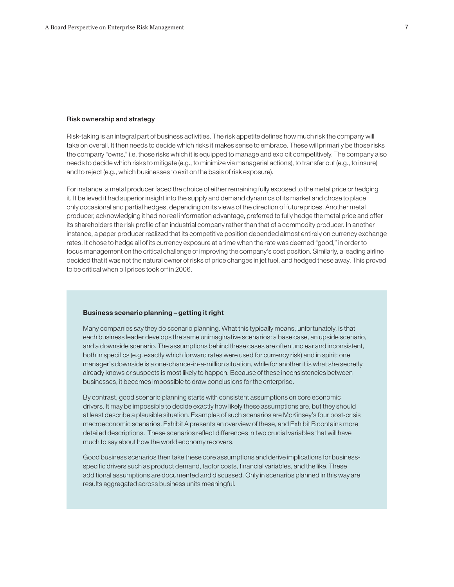#### Risk ownership and strategy

Risk-taking is an integral part of business activities. The risk appetite defines how much risk the company will take on overall. It then needs to decide which risks it makes sense to embrace. These will primarily be those risks the company "owns," i.e. those risks which it is equipped to manage and exploit competitively. The company also needs to decide which risks to mitigate (e.g., to minimize via managerial actions), to transfer out (e.g., to insure) and to reject (e.g., which businesses to exit on the basis of risk exposure).

For instance, a metal producer faced the choice of either remaining fully exposed to the metal price or hedging it. It believed it had superior insight into the supply and demand dynamics of its market and chose to place only occasional and partial hedges, depending on its views of the direction of future prices. Another metal producer, acknowledging it had no real information advantage, preferred to fully hedge the metal price and offer its shareholders the risk profile of an industrial company rather than that of a commodity producer. In another instance, a paper producer realized that its competitive position depended almost entirely on currency exchange rates. It chose to hedge all of its currency exposure at a time when the rate was deemed "good," in order to focus management on the critical challenge of improving the company's cost position. Similarly, a leading airline decided that it was not the natural owner of risks of price changes in jet fuel, and hedged these away. This proved to be critical when oil prices took off in 2006.

#### Business scenario planning – getting it right

Many companies say they do scenario planning. What this typically means, unfortunately, is that each business leader develops the same unimaginative scenarios: a base case, an upside scenario, and a downside scenario. The assumptions behind these cases are often unclear and inconsistent, both in specifics (e.g. exactly which forward rates were used for currency risk) and in spirit: one manager's downside is a one-chance-in-a-million situation, while for another it is what she secretly already knows or suspects is most likely to happen. Because of these inconsistencies between businesses, it becomes impossible to draw conclusions for the enterprise.

By contrast, good scenario planning starts with consistent assumptions on core economic drivers. It may be impossible to decide exactly how likely these assumptions are, but they should at least describe a plausible situation. Examples of such scenarios are McKinsey's four post-crisis macroeconomic scenarios. Exhibit A presents an overview of these, and Exhibit B contains more detailed descriptions. These scenarios reflect differences in two crucial variables that will have much to say about how the world economy recovers.

Good business scenarios then take these core assumptions and derive implications for businessspecific drivers such as product demand, factor costs, financial variables, and the like. These additional assumptions are documented and discussed. Only in scenarios planned in this way are results aggregated across business units meaningful.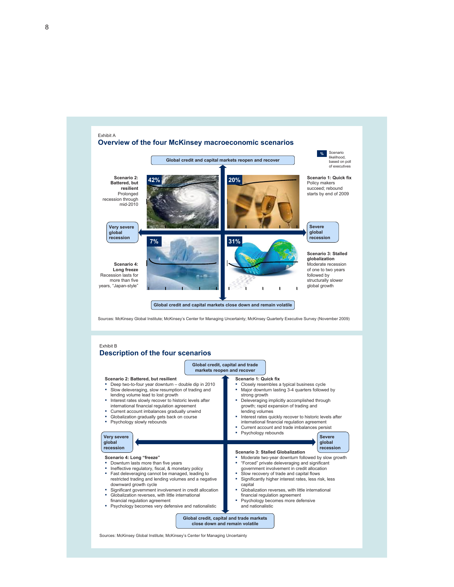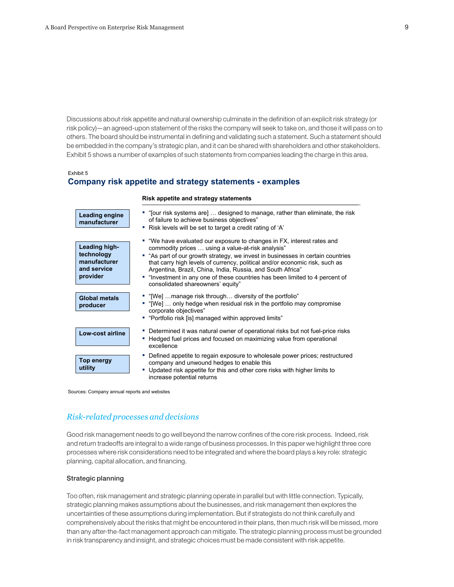Discussions about risk appetite and natural ownership culminate in the definition of an explicit risk strategy (or risk policy)—an agreed-upon statement of the risks the company will seek to take on, and those it will pass on to others. The board should be instrumental in defining and validating such a statement. Such a statement should be embedded in the company's strategic plan, and it can be shared with shareholders and other stakeholders. Exhibit 5 shows a number of examples of such statements from companies leading the charge in this area.

#### Exhibit 5

## **Company risk appetite and strategy statements - examples**

#### **Risk appetite and strategy statements**

| Leading engine<br>manufacturer                                         | " "[our risk systems are]  designed to manage, rather than eliminate, the risk<br>of failure to achieve business objectives"<br>" Risk levels will be set to target a credit rating of 'A'                                                                                                                                                                                                                                                                                     |
|------------------------------------------------------------------------|--------------------------------------------------------------------------------------------------------------------------------------------------------------------------------------------------------------------------------------------------------------------------------------------------------------------------------------------------------------------------------------------------------------------------------------------------------------------------------|
| Leading high-<br>technology<br>manufacturer<br>and service<br>provider | • "We have evaluated our exposure to changes in FX, interest rates and<br>commodity prices  using a value-at-risk analysis"<br>" "As part of our growth strategy, we invest in businesses in certain countries<br>that carry high levels of currency, political and/or economic risk, such as<br>Argentina, Brazil, China, India, Russia, and South Africa"<br>"Investment in any one of these countries has been limited to 4 percent of<br>consolidated shareowners' equity" |
| <b>Global metals</b><br>producer                                       | " "[We] manage risk through diversity of the portfolio"<br>" "[We]  only hedge when residual risk in the portfolio may compromise<br>corporate objectives"<br>" "Portfolio risk [is] managed within approved limits"                                                                                                                                                                                                                                                           |
| Low-cost airline                                                       | • Determined it was natural owner of operational risks but not fuel-price risks<br>Hedged fuel prices and focused on maximizing value from operational<br>excellence                                                                                                                                                                                                                                                                                                           |
| Top energy<br>utility                                                  | Defined appetite to regain exposure to wholesale power prices; restructured<br>company and unwound hedges to enable this<br>Updated risk appetite for this and other core risks with higher limits to<br>increase potential returns                                                                                                                                                                                                                                            |

Sources: Company annual reports and websites

### *Risk-related processes and decisions*

Good risk management needs to go well beyond the narrow confines of the core risk process. Indeed, risk and return tradeoffs are integral to a wide range of business processes. In this paper we highlight three core processes where risk considerations need to be integrated and where the board plays a key role: strategic planning, capital allocation, and financing.

#### Strategic planning

Too often, risk management and strategic planning operate in parallel but with little connection. Typically, strategic planning makes assumptions about the businesses, and risk management then explores the uncertainties of these assumptions during implementation. But if strategists do not think carefully and comprehensively about the risks that might be encountered in their plans, then much risk will be missed, more than any after-the-fact management approach can mitigate. The strategic planning process must be grounded in risk transparency and insight, and strategic choices must be made consistent with risk appetite.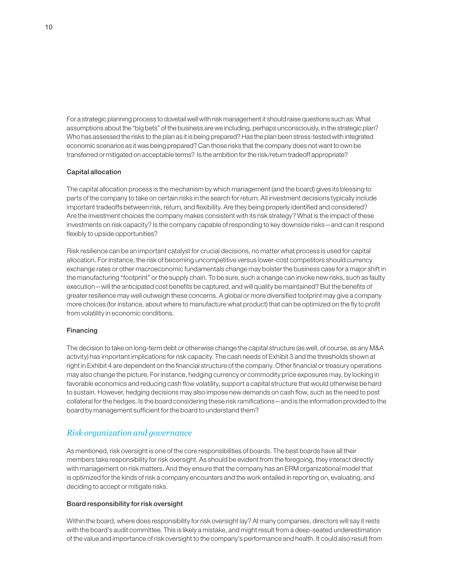For a strategic planning process to dovetail well with risk management it should raise questions such as: What assumptions about the "big bets" of the business are we including, perhaps unconsciously, in the strategic plan? Who has assessed the risks to the plan as it is being prepared? Has the plan been stress-tested with integrated economic scenarios as it was being prepared? Can those risks that the company does not want to own be transferred or mitigated on acceptable terms? Is the ambition for the risk/return tradeoff appropriate?

#### Capital allocation

The capital allocation process is the mechanism by which management (and the board) gives its blessing to parts of the company to take on certain risks in the search for return. All investment decisions typically include important tradeoffs between risk, return, and flexibility. Are they being properly identified and considered? Are the investment choices the company makes consistent with its risk strategy? What is the impact of these investments on risk capacity? Is the company capable of responding to key downside risks—and can it respond flexibly to upside opportunities?

Risk resilience can be an important catalyst for crucial decisions, no matter what process is used for capital allocation. For instance, the risk of becoming uncompetitive versus lower-cost competitors should currency exchange rates or other macroeconomic fundamentals change may bolster the business case for a major shift in the manufacturing "footprint" or the supply chain. To be sure, such a change can invoke new risks, such as faulty execution—will the anticipated cost benefits be captured, and will quality be maintained? But the benefits of greater resilience may well outweigh these concerns. A global or more diversified footprint may give a company more choices (for instance, about where to manufacture what product) that can be optimized on the fly to profit from volatility in economic conditions.

#### Financing

The decision to take on long-term debt or otherwise change the capital structure (as well, of course, as any M&A activity) has important implications for risk capacity. The cash needs of Exhibit 3 and the thresholds shown at right in Exhibit 4 are dependent on the financial structure of the company. Other financial or treasury operations may also change the picture. For instance, hedging currency or commodity price exposures may, by locking in favorable economics and reducing cash flow volatility, support a capital structure that would otherwise be hard to sustain. However, hedging decisions may also impose new demands on cash flow, such as the need to post collateral for the hedges. Is the board considering these risk ramifications—and is the information provided to the board by management sufficient for the board to understand them?

### *Risk organization and governance*

As mentioned, risk oversight is one of the core responsibilities of boards. The best boards have all their members take responsibility for risk oversight. As should be evident from the foregoing, they interact directly with management on risk matters. And they ensure that the company has an ERM organizational model that is optimized for the kinds of risk a company encounters and the work entailed in reporting on, evaluating, and deciding to accept or mitigate risks.

#### Board responsibility for risk oversight

Within the board, where does responsibility for risk oversight lay? At many companies, directors will say it rests with the board's audit committee. This is likely a mistake, and might result from a deep-seated underestimation of the value and importance of risk oversight to the company's performance and health. It could also result from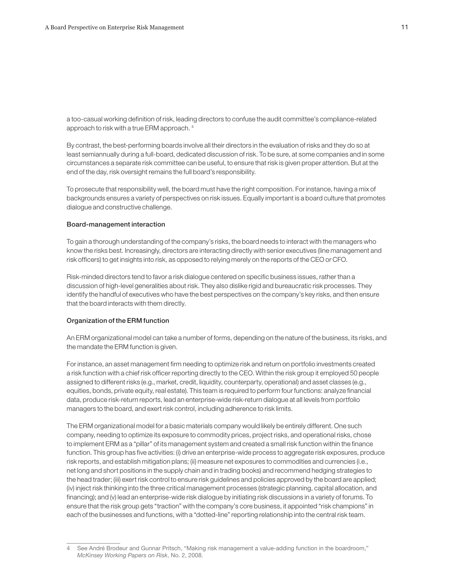a too-casual working definition of risk, leading directors to confuse the audit committee's compliance-related approach to risk with a true ERM approach. 4

By contrast, the best-performing boards involve all their directors in the evaluation of risks and they do so at least semiannually during a full-board, dedicated discussion of risk. To be sure, at some companies and in some circumstances a separate risk committee can be useful, to ensure that risk is given proper attention. But at the end of the day, risk oversight remains the full board's responsibility.

To prosecute that responsibility well, the board must have the right composition. For instance, having a mix of backgrounds ensures a variety of perspectives on risk issues. Equally important is a board culture that promotes dialogue and constructive challenge.

#### Board-management interaction

To gain a thorough understanding of the company's risks, the board needs to interact with the managers who know the risks best. Increasingly, directors are interacting directly with senior executives (line management and risk officers) to get insights into risk, as opposed to relying merely on the reports of the CEO or CFO.

Risk-minded directors tend to favor a risk dialogue centered on specific business issues, rather than a discussion of high-level generalities about risk. They also dislike rigid and bureaucratic risk processes. They identify the handful of executives who have the best perspectives on the company's key risks, and then ensure that the board interacts with them directly.

#### Organization of the ERM function

An ERM organizational model can take a number of forms, depending on the nature of the business, its risks, and the mandate the ERM function is given.

For instance, an asset management firm needing to optimize risk and return on portfolio investments created a risk function with a chief risk officer reporting directly to the CEO. Within the risk group it employed 50 people assigned to different risks (e.g., market, credit, liquidity, counterparty, operational) and asset classes (e.g., equities, bonds, private equity, real estate). This team is required to perform four functions: analyze financial data, produce risk-return reports, lead an enterprise-wide risk-return dialogue at all levels from portfolio managers to the board, and exert risk control, including adherence to risk limits.

The ERM organizational model for a basic materials company would likely be entirely different. One such company, needing to optimize its exposure to commodity prices, project risks, and operational risks, chose to implement ERM as a "pillar" of its management system and created a small risk function within the finance function. This group has five activities: (i) drive an enterprise-wide process to aggregate risk exposures, produce risk reports, and establish mitigation plans; (ii) measure net exposures to commodities and currencies (i.e., net long and short positions in the supply chain and in trading books) and recommend hedging strategies to the head trader; (iii) exert risk control to ensure risk guidelines and policies approved by the board are applied; (iv) inject risk thinking into the three critical management processes (strategic planning, capital allocation, and financing); and (v) lead an enterprise-wide risk dialogue by initiating risk discussions in a variety of forums. To ensure that the risk group gets "traction" with the company's core business, it appointed "risk champions" in each of the businesses and functions, with a "dotted-line" reporting relationship into the central risk team.

<sup>4</sup> See André Brodeur and Gunnar Pritsch, "Making risk management a value-adding function in the boardroom," *McKinsey Working Papers on Risk*, No. 2, 2008.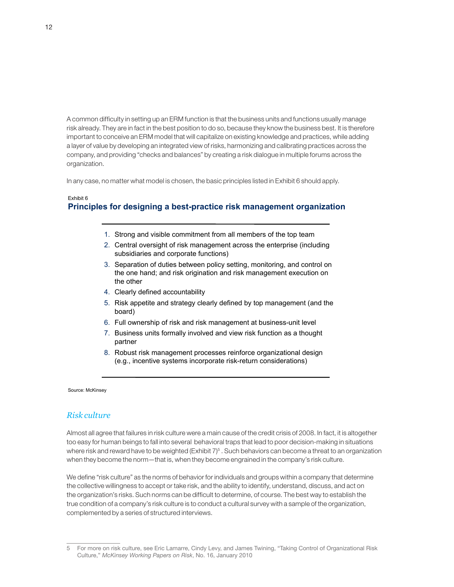A common difficulty in setting up an ERM function is that the business units and functions usually manage risk already. They are in fact in the best position to do so, because they know the business best. It is therefore important to conceive an ERM model that will capitalize on existing knowledge and practices, while adding a layer of value by developing an integrated view of risks, harmonizing and calibrating practices across the company, and providing "checks and balances" by creating a risk dialogue in multiple forums across the organization.

In any case, no matter what model is chosen, the basic principles listed in Exhibit 6 should apply.

# Exhibit 6 **Principles for designing a best-practice risk management organization**

- 1. Strong and visible commitment from all members of the top team
- 2. Central oversight of risk management across the enterprise (including subsidiaries and corporate functions)
- 3. Separation of duties between policy setting, monitoring, and control on the one hand; and risk origination and risk management execution on the other
- 4. Clearly defined accountability
- 5. Risk appetite and strategy clearly defined by top management (and the board)
- 6. Full ownership of risk and risk management at business-unit level
- 7. Business units formally involved and view risk function as a thought partner
- 8. Robust risk management processes reinforce organizational design (e.g., incentive systems incorporate risk-return considerations)

#### Source: McKinsey

### *Risk culture*

Almost all agree that failures in risk culture were a main cause of the credit crisis of 2008. In fact, it is altogether too easy for human beings to fall into several behavioral traps that lead to poor decision-making in situations where risk and reward have to be weighted (Exhibit 7)<sup>5</sup> . Such behaviors can become a threat to an organization when they become the norm—that is, when they become engrained in the company's risk culture.

We define "risk culture" as the norms of behavior for individuals and groups within a company that determine the collective willingness to accept or take risk, and the ability to identify, understand, discuss, and act on the organization's risks. Such norms can be difficult to determine, of course. The best way to establish the true condition of a company's risk culture is to conduct a cultural survey with a sample of the organization, complemented by a series of structured interviews.

<sup>5</sup> For more on risk culture, see Eric Lamarre, Cindy Levy, and James Twining, "Taking Control of Organizational Risk Culture," *McKinsey Working Papers on Risk*, No. 16, January 2010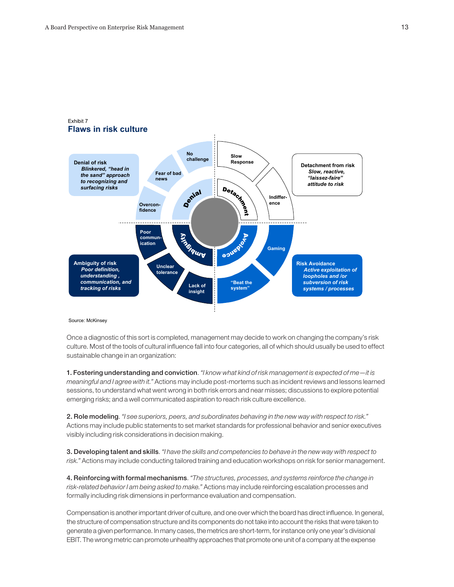

# Exhibit 7

#### Source: McKinsey

Once a diagnostic of this sort is completed, management may decide to work on changing the company's risk culture. Most of the tools of cultural influence fall into four categories, all of which should usually be used to effect sustainable change in an organization:

1. Fostering understanding and conviction. *"I know what kind of risk management is expected of me*—*it is meaningful and I agree with it."* Actions may include post-mortems such as incident reviews and lessons learned sessions, to understand what went wrong in both risk errors and near misses; discussions to explore potential emerging risks; and a well communicated aspiration to reach risk culture excellence.

2. Role modeling. *"I see superiors, peers, and subordinates behaving in the new way with respect to risk."* Actions may include public statements to set market standards for professional behavior and senior executives visibly including risk considerations in decision making.

3. Developing talent and skills. *"I have the skills and competencies to behave in the new way with respect to risk."* Actions may include conducting tailored training and education workshops on risk for senior management.

4. Reinforcing with formal mechanisms. *"The structures, processes, and systems reinforce the change in risk-related behavior I am being asked to make."* Actions may include reinforcing escalation processes and formally including risk dimensions in performance evaluation and compensation.

Compensation is another important driver of culture, and one over which the board has direct influence. In general, the structure of compensation structure and its components do not take into account the risks that were taken to generate a given performance. In many cases, the metrics are short-term, for instance only one year's divisional EBIT. The wrong metric can promote unhealthy approaches that promote one unit of a company at the expense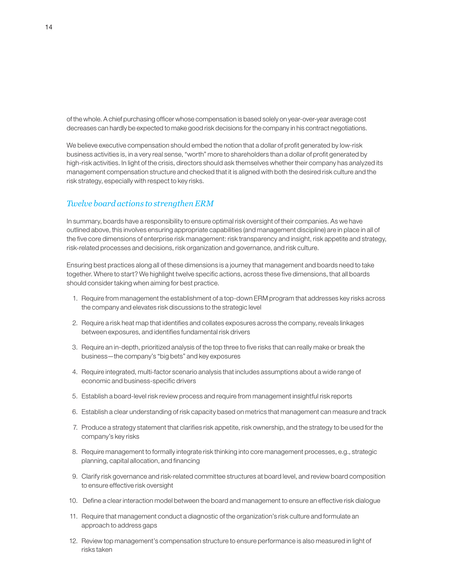of the whole. A chief purchasing officer whose compensation is based solely on year-over-year average cost decreases can hardly be expected to make good risk decisions for the company in his contract negotiations.

We believe executive compensation should embed the notion that a dollar of profit generated by low-risk business activities is, in a very real sense, "worth" more to shareholders than a dollar of profit generated by high-risk activities. In light of the crisis, directors should ask themselves whether their company has analyzed its management compensation structure and checked that it is aligned with both the desired risk culture and the risk strategy, especially with respect to key risks.

# *Twelve board actions to strengthen ERM*

In summary, boards have a responsibility to ensure optimal risk oversight of their companies. As we have outlined above, this involves ensuring appropriate capabilities (and management discipline) are in place in all of the five core dimensions of enterprise risk management: risk transparency and insight, risk appetite and strategy, risk-related processes and decisions, risk organization and governance, and risk culture.

Ensuring best practices along all of these dimensions is a journey that management and boards need to take together. Where to start? We highlight twelve specific actions, across these five dimensions, that all boards should consider taking when aiming for best practice.

- 1. Require from management the establishment of a top-down ERM program that addresses key risks across the company and elevates risk discussions to the strategic level
- 2. Require a risk heat map that identifies and collates exposures across the company, reveals linkages between exposures, and identifies fundamental risk drivers
- 3. Require an in-depth, prioritized analysis of the top three to five risks that can really make or break the business—the company's "big bets" and key exposures
- 4. Require integrated, multi-factor scenario analysis that includes assumptions about a wide range of economic and business-specific drivers
- 5. Establish a board-level risk review process and require from management insightful risk reports
- 6. Establish a clear understanding of risk capacity based on metrics that management can measure and track
- 7. Produce a strategy statement that clarifies risk appetite, risk ownership, and the strategy to be used for the company's key risks
- 8. Require management to formally integrate risk thinking into core management processes, e.g., strategic planning, capital allocation, and financing
- 9. Clarify risk governance and risk-related committee structures at board level, and review board composition to ensure effective risk oversight
- 10. Define a clear interaction model between the board and management to ensure an effective risk dialogue
- 11. Require that management conduct a diagnostic of the organization's risk culture and formulate an approach to address gaps
- 12. Review top management's compensation structure to ensure performance is also measured in light of risks taken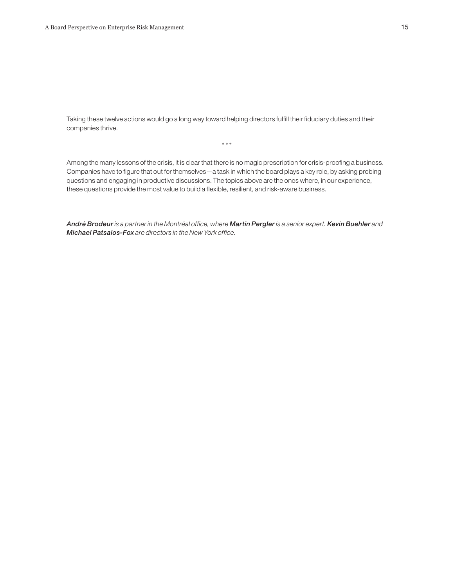Taking these twelve actions would go a long way toward helping directors fulfill their fiduciary duties and their companies thrive.

\* \* \*

Among the many lessons of the crisis, it is clear that there is no magic prescription for crisis-proofing a business. Companies have to figure that out for themselves—a task in which the board plays a key role, by asking probing questions and engaging in productive discussions. The topics above are the ones where, in our experience, these questions provide the most value to build a flexible, resilient, and risk-aware business.

*André Brodeur is a partner in the Montréal office, where Martin Pergler is a senior expert. Kevin Buehler and Michael Patsalos-Fox are directors in the New York office.*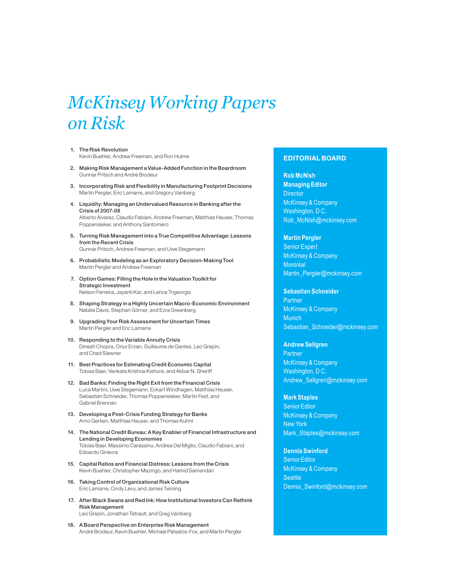# *McKinsey Working Papers on Risk*

- 1. The Risk Revolution Kevin Buehler, Andrew Freeman, and Ron Hulme
- 2. Making Risk Management a Value-Added Function in the Boardroom Gunnar Pritsch and André Brodeur
- 3. Incorporating Risk and Flexibility in Manufacturing Footprint Decisions Martin Pergler, Eric Lamarre, and Gregory Vainberg
- 4. Liquidity: Managing an Undervalued Resource in Banking after the Crisis of 2007-08 Alberto Alvarez, Claudio Fabiani, Andrew Freeman, Matthias Hauser, Thomas Poppensieker, and Anthony Santomero
- 5. Turning Risk Management into a True Competitive Advantage: Lessons from the Recent Crisis Gunnar Pritsch, Andrew Freeman, and Uwe Stegemann
- 6. Probabilistic Modeling as an Exploratory Decision-Making Tool Martin Pergler and Andrew Freeman
- 7. Option Games: Filling the Hole in the Valuation Toolkit for Strategic Investment Nelson Ferreira, Jayanti Kar, and Lenos Trigeorgis
- 8. Shaping Strategy in a Highly Uncertain Macro-Economic Environment Natalie Davis, Stephan Görner, and Ezra Greenberg
- 9. Upgrading Your Risk Assessment for Uncertain Times Martin Pergler and Eric Lamarre
- 10. Responding to the Variable Annuity Crisis Dinesh Chopra, Onur Erzan, Guillaume de Gantes, Leo Grepin, and Chad Slawner
- 11. Best Practices for Estimating Credit Economic Capital Tobias Baer, Venkata Krishna Kishore, and Akbar N. Sheriff
- 12. Bad Banks: Finding the Right Exit from the Financial Crisis Luca Martini, Uwe Stegemann, Eckart Windhagen, Matthias Heuser, Sebastian Schneider, Thomas Poppensieker, Martin Fest, and Gabriel Brennan
- 13. Developing a Post-Crisis Funding Strategy for Banks Arno Gerken, Matthias Heuser, and Thomas Kuhnt
- 14. The National Credit Bureau: A Key Enabler of Financial Infrastructure and Lending in Developing Economies Tobias Baer, Massimo Carassinu, Andrea Del Miglio, Claudio Fabiani, and Edoardo Ginevra
- 15. Capital Ratios and Financial Distress: Lessons from the Crisis Kevin Buehler, Christopher Mazingo, and Hamid Samandari
- 16. Taking Control of Organizational Risk Culture Eric Lamarre, Cindy Levy, and James Twining
- 17. After Black Swans and Red Ink: How Institutional Investors Can Rethink Risk Management Leo Grepin, Jonathan Tétrault, and Greg Vainberg
- 18. A Board Perspective on Enterprise Risk Management André Brodeur, Kevin Buehler, Michael Patsalos-Fox, and Martin Pergler

#### EDITORIAL BOARD

### **Rob McNish Managing Editor Director** McKinsey & Company Washington, D.C. Rob\_McNish@mckinsey.com

**Martin Pergler** Senior Expert McKinsey & Company Montréal Martin\_Pergler@mckinsey.com

#### **Sebastian Schneider**

**Partner** McKinsey & Company Munich Sebastian\_Schneider@mckinsey.com

#### **Andrew Sellgren**

**Partner** McKinsey & Company Washington, D.C. Andrew\_Sellgren@mckinsey.com

#### **Mark Staples**

Senior Editor McKinsey & Company New York Mark Staples@mckinsey.com

**Dennis Swinford** Senior Editor McKinsey & Company **Seattle** Dennis\_Swinford@mckinsey.com